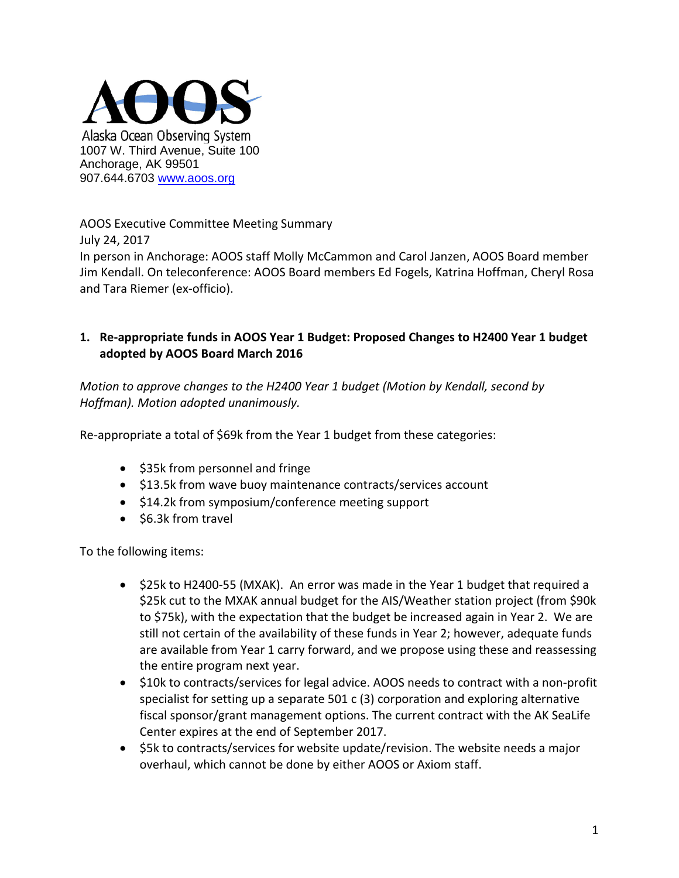

AOOS Executive Committee Meeting Summary

July 24, 2017

In person in Anchorage: AOOS staff Molly McCammon and Carol Janzen, AOOS Board member Jim Kendall. On teleconference: AOOS Board members Ed Fogels, Katrina Hoffman, Cheryl Rosa and Tara Riemer (ex-officio).

## **1. Re-appropriate funds in AOOS Year 1 Budget: Proposed Changes to H2400 Year 1 budget adopted by AOOS Board March 2016**

*Motion to approve changes to the H2400 Year 1 budget (Motion by Kendall, second by Hoffman). Motion adopted unanimously.*

Re-appropriate a total of \$69k from the Year 1 budget from these categories:

- \$35k from personnel and fringe
- \$13.5k from wave buoy maintenance contracts/services account
- \$14.2k from symposium/conference meeting support
- \$6.3k from travel

To the following items:

- \$25k to H2400-55 (MXAK). An error was made in the Year 1 budget that required a \$25k cut to the MXAK annual budget for the AIS/Weather station project (from \$90k to \$75k), with the expectation that the budget be increased again in Year 2. We are still not certain of the availability of these funds in Year 2; however, adequate funds are available from Year 1 carry forward, and we propose using these and reassessing the entire program next year.
- \$10k to contracts/services for legal advice. AOOS needs to contract with a non-profit specialist for setting up a separate  $501 c (3)$  corporation and exploring alternative fiscal sponsor/grant management options. The current contract with the AK SeaLife Center expires at the end of September 2017.
- \$5k to contracts/services for website update/revision. The website needs a major overhaul, which cannot be done by either AOOS or Axiom staff.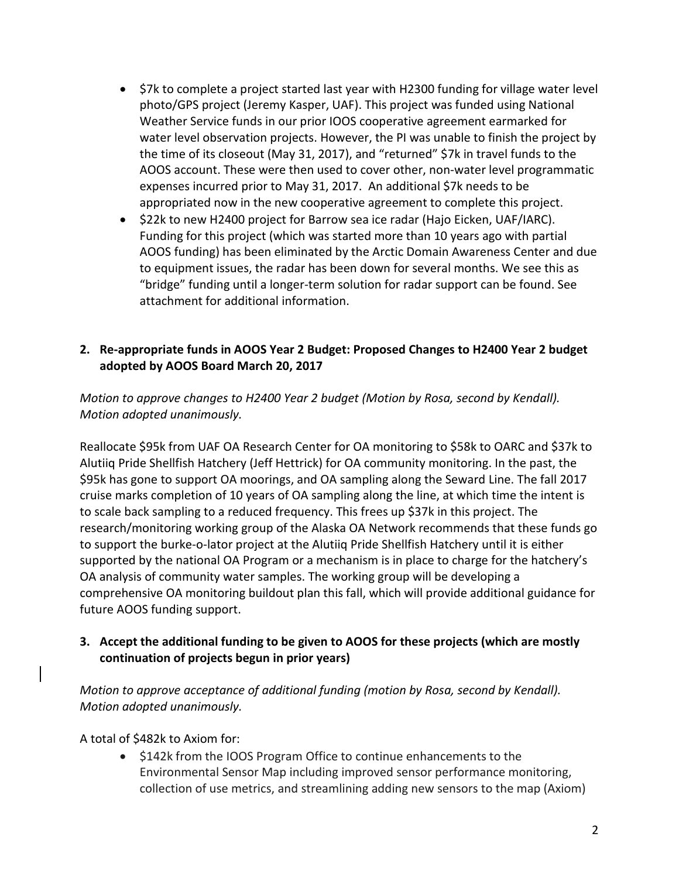- \$7k to complete a project started last year with H2300 funding for village water level photo/GPS project (Jeremy Kasper, UAF). This project was funded using National Weather Service funds in our prior IOOS cooperative agreement earmarked for water level observation projects. However, the PI was unable to finish the project by the time of its closeout (May 31, 2017), and "returned" \$7k in travel funds to the AOOS account. These were then used to cover other, non-water level programmatic expenses incurred prior to May 31, 2017. An additional \$7k needs to be appropriated now in the new cooperative agreement to complete this project.
- \$22k to new H2400 project for Barrow sea ice radar (Hajo Eicken, UAF/IARC). Funding for this project (which was started more than 10 years ago with partial AOOS funding) has been eliminated by the Arctic Domain Awareness Center and due to equipment issues, the radar has been down for several months. We see this as "bridge" funding until a longer-term solution for radar support can be found. See attachment for additional information.

### **2. Re-appropriate funds in AOOS Year 2 Budget: Proposed Changes to H2400 Year 2 budget adopted by AOOS Board March 20, 2017**

*Motion to approve changes to H2400 Year 2 budget (Motion by Rosa, second by Kendall). Motion adopted unanimously.* 

Reallocate \$95k from UAF OA Research Center for OA monitoring to \$58k to OARC and \$37k to Alutiiq Pride Shellfish Hatchery (Jeff Hettrick) for OA community monitoring. In the past, the \$95k has gone to support OA moorings, and OA sampling along the Seward Line. The fall 2017 cruise marks completion of 10 years of OA sampling along the line, at which time the intent is to scale back sampling to a reduced frequency. This frees up \$37k in this project. The research/monitoring working group of the Alaska OA Network recommends that these funds go to support the burke-o-lator project at the Alutiiq Pride Shellfish Hatchery until it is either supported by the national OA Program or a mechanism is in place to charge for the hatchery's OA analysis of community water samples. The working group will be developing a comprehensive OA monitoring buildout plan this fall, which will provide additional guidance for future AOOS funding support.

#### **3. Accept the additional funding to be given to AOOS for these projects (which are mostly continuation of projects begun in prior years)**

*Motion to approve acceptance of additional funding (motion by Rosa, second by Kendall). Motion adopted unanimously.*

A total of \$482k to Axiom for:

• \$142k from the IOOS Program Office to continue enhancements to the Environmental Sensor Map including improved sensor performance monitoring, collection of use metrics, and streamlining adding new sensors to the map (Axiom)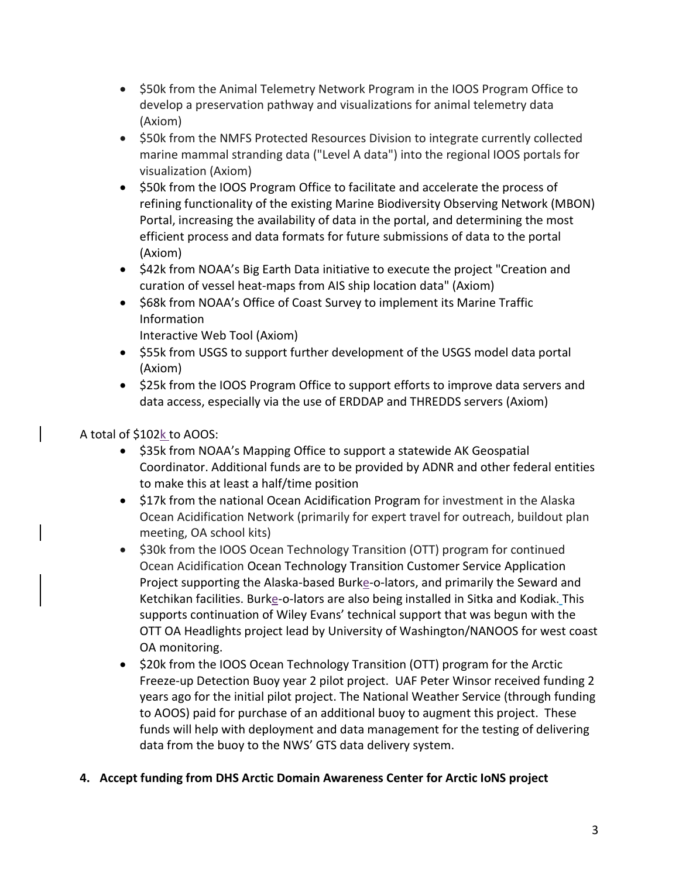- \$50k from the Animal Telemetry Network Program in the IOOS Program Office to develop a preservation pathway and visualizations for animal telemetry data (Axiom)
- \$50k from the NMFS Protected Resources Division to integrate currently collected marine mammal stranding data ("Level A data") into the regional IOOS portals for visualization (Axiom)
- \$50k from the IOOS Program Office to facilitate and accelerate the process of refining functionality of the existing Marine Biodiversity Observing Network (MBON) Portal, increasing the availability of data in the portal, and determining the most efficient process and data formats for future submissions of data to the portal (Axiom)
- \$42k from NOAA's Big Earth Data initiative to execute the project "Creation and curation of vessel heat-maps from AIS ship location data" (Axiom)
- \$68k from NOAA's Office of Coast Survey to implement its Marine Traffic Information

Interactive Web Tool (Axiom)

- \$55k from USGS to support further development of the USGS model data portal (Axiom)
- \$25k from the IOOS Program Office to support efforts to improve data servers and data access, especially via the use of ERDDAP and THREDDS servers (Axiom)

# A total of \$102k to AOOS:

- \$35k from NOAA's Mapping Office to support a statewide AK Geospatial Coordinator. Additional funds are to be provided by ADNR and other federal entities to make this at least a half/time position
- \$17k from the national Ocean Acidification Program for investment in the Alaska Ocean Acidification Network (primarily for expert travel for outreach, buildout plan meeting, OA school kits)
- \$30k from the IOOS Ocean Technology Transition (OTT) program for continued Ocean Acidification Ocean Technology Transition Customer Service Application Project supporting the Alaska-based Burke-o-lators, and primarily the Seward and Ketchikan facilities. Burke-o-lators are also being installed in Sitka and Kodiak. This supports continuation of Wiley Evans' technical support that was begun with the OTT OA Headlights project lead by University of Washington/NANOOS for west coast OA monitoring.
- \$20k from the IOOS Ocean Technology Transition (OTT) program for the Arctic Freeze-up Detection Buoy year 2 pilot project. UAF Peter Winsor received funding 2 years ago for the initial pilot project. The National Weather Service (through funding to AOOS) paid for purchase of an additional buoy to augment this project. These funds will help with deployment and data management for the testing of delivering data from the buoy to the NWS' GTS data delivery system.

## **4. Accept funding from DHS Arctic Domain Awareness Center for Arctic IoNS project**